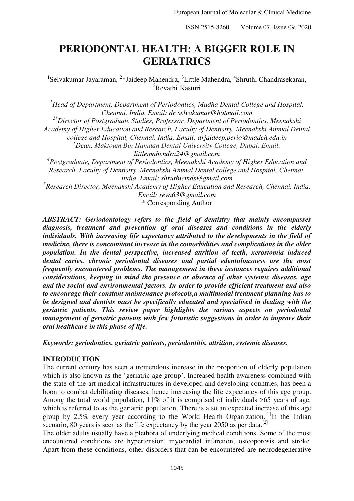ISSN 2515-8260 Volume 07, Issue 09, 2020

# **PERIODONTAL HEALTH: A BIGGER ROLE IN GERIATRICS**

<sup>1</sup>Selvakumar Jayaraman, <sup>2\*</sup>Jaideep Mahendra, <sup>3</sup>Little Mahendra, <sup>4</sup>Shruthi Chandrasekaran, <sup>5</sup>Revathi Kasturi

*<sup>1</sup>Head of Department, Department of Periodontics, Madha Dental College and Hospital, Chennai, India. Email: dr.selvakumar@hotmail.com* 

*2\*Director of Postgraduate Studies, Professor, Department of Periodontics, Meenakshi* 

*Academy of Higher Education and Research, Faculty of Dentistry, Meenakshi Ammal Dental* 

*college and Hospital, Chennai, India. Email: drjaideep.perio@madch.edu.in*

*<sup>3</sup>Dean, Maktoum Bin Hamdan Dental University College, Dubai. Email:* 

*littlemahendra24@gmail.com*

*4 Postgraduate, Department of Periodontics, Meenakshi Academy of Higher Education and Research, Faculty of Dentistry, Meenakshi Ammal Dental college and Hospital, Chennai, India. Email: shruthicmds@gmail.com*

*5 Research Director, Meenakshi Academy of Higher Education and Research, Chennai, India. Email: reva63@gmail.com*

\* Corresponding Author

*ABSTRACT: Geriodontology refers to the field of dentistry that mainly encompasses diagnosis, treatment and prevention of oral diseases and conditions in the elderly individuals. With increasing life expectancy attributed to the developments in the field of medicine, there is concomitant increase in the comorbidities and complications in the older population. In the dental perspective, increased attrition of teeth, xerostomia induced dental caries, chronic periodontal diseases and partial edentulousness are the most frequently encountered problems. The management in these instances requires additional considerations, keeping in mind the presence or absence of other systemic diseases, age and the social and environmental factors. In order to provide efficient treatment and also to encourage their constant maintenance protocols,a multimodal treatment planning has to be designed and dentists must be specifically educated and specialised in dealing with the geriatric patients. This review paper highlights the various aspects on periodontal management of geriatric patients with few futuristic suggestions in order to improve their oral healthcare in this phase of life.* 

*Keywords: geriodontics, geriatric patients, periodontitis, attrition, systemic diseases.* 

## **INTRODUCTION**

The current century has seen a tremendous increase in the proportion of elderly population which is also known as the 'geriatric age group'. Increased health awareness combined with the state-of-the-art medical infrastructures in developed and developing countries, has been a boon to combat debilitating diseases, hence increasing the life expectancy of this age group. Among the total world population, 11% of it is comprised of individuals >65 years of age, which is referred to as the geriatric population. There is also an expected increase of this age group by 2.5% every year according to the World Health Organization.<sup>[1]</sup>In the Indian scenario, 80 years is seen as the life expectancy by the year 2050 as per data.<sup>[2]</sup>

The older adults usually have a plethora of underlying medical conditions. Some of the most encountered conditions are hypertension, myocardial infarction, osteoporosis and stroke. Apart from these conditions, other disorders that can be encountered are neurodegenerative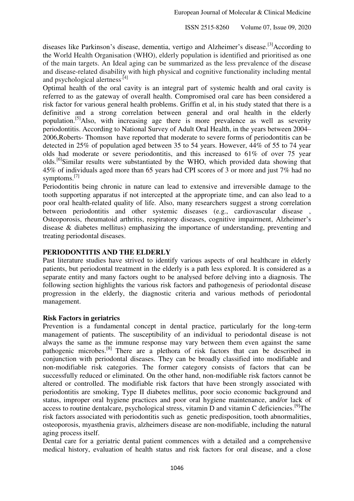diseases like Parkinson's disease, dementia, vertigo and Alzheimer's disease.<sup>[3]</sup>According to the World Health Organisation (WHO), elderly population is identified and prioritised as one of the main targets. An Ideal aging can be summarized as the less prevalence of the disease and disease-related disability with high physical and cognitive functionality including mental and psychological alertness<sup>[4]</sup>

Optimal health of the oral cavity is an integral part of systemic health and oral cavity is referred to as the gateway of overall health. Compromised oral care has been considered a risk factor for various general health problems. Griffin et al, in his study stated that there is a definitive and a strong correlation between general and oral health in the elderly population.[5]Also, with increasing age there is more prevalence as well as severity periodontitis. According to National Survey of Adult Oral Health, in the years between 2004– 2006,Roberts- Thomson have reported that moderate to severe forms of periodontitis can be detected in 25% of population aged between 35 to 54 years. However, 44% of 55 to 74 year olds had moderate or severe periodontitis, and this increased to 61% of over 75 year olds.<sup>[6]</sup>Similar results were substantiated by the WHO, which provided data showing that 45% of individuals aged more than 65 years had CPI scores of 3 or more and just 7% had no symptoms.<sup>[7]</sup>

Periodontitis being chronic in nature can lead to extensive and irreversible damage to the tooth supporting apparatus if not intercepted at the appropriate time, and can also lead to a poor oral health-related quality of life. Also, many researchers suggest a strong correlation between periodontitis and other systemic diseases (e.g., cardiovascular disease , Osteoporosis, rheumatoid arthritis, respiratory diseases, cognitive impairment, Alzheimer's disease & diabetes mellitus) emphasizing the importance of understanding, preventing and treating periodontal diseases.

# **PERIODONTITIS AND THE ELDERLY**

Past literature studies have strived to identify various aspects of oral healthcare in elderly patients, but periodontal treatment in the elderly is a path less explored. It is considered as a separate entity and many factors ought to be analysed before delving into a diagnosis. The following section highlights the various risk factors and pathogenesis of periodontal disease progression in the elderly, the diagnostic criteria and various methods of periodontal management.

## **Risk Factors in geriatrics**

Prevention is a fundamental concept in dental practice, particularly for the long-term management of patients. The susceptibility of an individual to periodontal disease is not always the same as the immune response may vary between them even against the same pathogenic microbes.[8] There are a plethora of risk factors that can be described in conjunction with periodontal diseases. They can be broadly classified into modifiable and non-modifiable risk categories. The former category consists of factors that can be successfully reduced or eliminated. On the other hand, non-modifiable risk factors cannot be altered or controlled. The modifiable risk factors that have been strongly associated with periodontitis are smoking, Type II diabetes mellitus, poor socio economic background and status, improper oral hygiene practices and poor oral hygiene maintenance, and/or lack of access to routine dentalcare, psychological stress, vitamin D and vitamin C deficiencies.<sup>[9]</sup>The risk factors associated with periodontitis such as genetic predisposition, tooth abnormalities, osteoporosis, myasthenia gravis, alzheimers disease are non-modifiable, including the natural aging process itself.

Dental care for a geriatric dental patient commences with a detailed and a comprehensive medical history, evaluation of health status and risk factors for oral disease, and a close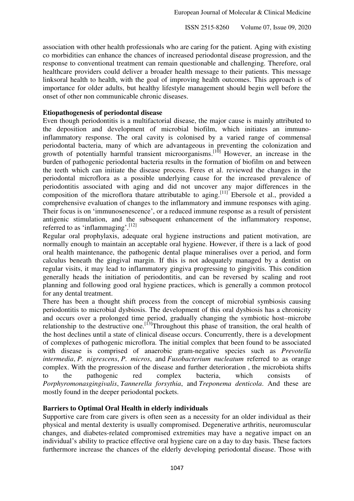ISSN 2515-8260 Volume 07, Issue 09, 2020

association with other health professionals who are caring for the patient. Aging with existing co morbidities can enhance the chances of increased periodontal disease progression, and the response to conventional treatment can remain questionable and challenging. Therefore, oral healthcare providers could deliver a broader health message to their patients. This message linksoral health to health, with the goal of improving health outcomes. This approach is of importance for older adults, but healthy lifestyle management should begin well before the onset of other non communicable chronic diseases.

## **Etiopathogenesis of periodontal disease**

Even though periodontitis is a multifactorial disease, the major cause is mainly attributed to the deposition and development of microbial biofilm, which initiates an immunoinflammatory response. The oral cavity is colonised by a varied range of commensal periodontal bacteria, many of which are advantageous in preventing the colonization and growth of potentially harmful transient microorganisms.<sup>[10]</sup> However, an increase in the burden of pathogenic periodontal bacteria results in the formation of biofilm on and between the teeth which can initiate the disease process. Feres et al. reviewed the changes in the periodontal microflora as a possible underlying cause for the increased prevalence of periodontitis associated with aging and did not uncover any major differences in the composition of the microflora thatare attributable to aging.<sup>[11]</sup> Ebersole et al., provided a comprehensive evaluation of changes to the inflammatory and immune responses with aging. Their focus is on 'immunosenescence', or a reduced immune response as a result of persistent antigenic stimulation, and the subsequent enhancement of the inflammatory response, referred to as 'inflammaging'.<sup>[12]</sup>

Regular oral prophylaxis, adequate oral hygiene instructions and patient motivation, are normally enough to maintain an acceptable oral hygiene. However, if there is a lack of good oral health maintenance, the pathogenic dental plaque mineralises over a period, and form calculus beneath the gingival margin. If this is not adequately managed by a dentist on regular visits, it may lead to inflammatory gingiva progressing to gingivitis. This condition generally heads the initiation of periodontitis, and can be reversed by scaling and root planning and following good oral hygiene practices, which is generally a common protocol for any dental treatment.

There has been a thought shift process from the concept of microbial symbiosis causing periodontitis to microbial dysbiosis. The development of this oral dysbiosis has a chronicity and occurs over a prolonged time period, gradually changing the symbiotic host–microbe relationship to the destructive one.<sup>[13]</sup>Throughout this phase of transition, the oral health of the host declines until a state of clinical disease occurs. Concurrently, there is a development of complexes of pathogenic microflora. The initial complex that been found to be associated with disease is comprised of anaerobic gram-negative species such as *Prevotella intermedia*, *P. nigrescens*, *P. micros*, and *Fusobacterium nucleatum* referred to as orange complex. With the progression of the disease and further deterioration , the microbiota shifts to the pathogenic red complex bacteria, which consists of *Porphyromonasgingivalis*, *Tannerella forsythia*, and *Treponema denticola*. And these are mostly found in the deeper periodontal pockets.

# **Barriers to Optimal Oral Health in elderly individuals**

Supportive care from care givers is often seen as a necessity for an older individual as their physical and mental dexterity is usually compromised. Degenerative arthritis, neuromuscular changes, and diabetes-related compromised extremities may have a negative impact on an individual's ability to practice effective oral hygiene care on a day to day basis. These factors furthermore increase the chances of the elderly developing periodontal disease. Those with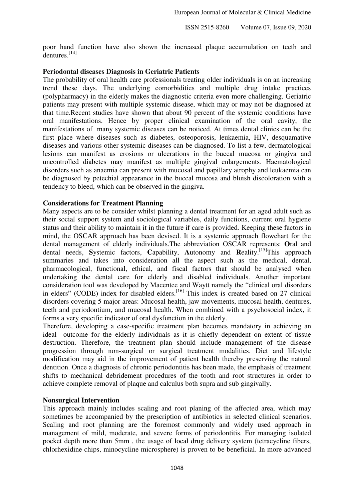poor hand function have also shown the increased plaque accumulation on teeth and  $dentures<sup>[14]</sup>$ 

## **Periodontal diseases Diagnosis in Geriatric Patients**

The probability of oral health care professionals treating older individuals is on an increasing trend these days. The underlying comorbidities and multiple drug intake practices (polypharmacy) in the elderly makes the diagnostic criteria even more challenging. Geriatric patients may present with multiple systemic disease, which may or may not be diagnosed at that time.Recent studies have shown that about 90 percent of the systemic conditions have oral manifestations. Hence by proper clinical examination of the oral cavity, the manifestations of many systemic diseases can be noticed. At times dental clinics can be the first place where diseases such as diabetes, osteoporosis, leukaemia, HIV, desquamative diseases and various other systemic diseases can be diagnosed. To list a few, dermatological lesions can manifest as erosions or ulcerations in the buccal mucosa or gingiva and uncontrolled diabetes may manifest as multiple gingival enlargements. Haematological disorders such as anaemia can present with mucosal and papillary atrophy and leukaemia can be diagnosed by petechial appearance in the buccal mucosa and bluish discoloration with a tendency to bleed, which can be observed in the gingiva.

## **Considerations for Treatment Planning**

Many aspects are to be consider whilst planning a dental treatment for an aged adult such as their social support system and sociological variables, daily functions, current oral hygiene status and their ability to maintain it in the future if care is provided. Keeping these factors in mind, the OSCAR approach has been devised. It is a systemic approach flowchart for the dental management of elderly individuals.The abbreviation OSCAR represents: **O**ral and dental needs, Systemic factors, Capability, Autonomy and Reality.<sup>[15]</sup>This approach summaries and takes into consideration all the aspect such as the medical, dental, pharmacological, functional, ethical, and fiscal factors that should be analysed when undertaking the dental care for elderly and disabled individuals. Another important consideration tool was developed by Macentee and Waytt namely the "clinical oral disorders in elders" (CODE) index for disabled elders.<sup>[16]</sup> This index is created based on 27 clinical disorders covering 5 major areas: Mucosal health, jaw movements, mucosal health, dentures, teeth and periodontium, and mucosal health. When combined with a psychosocial index, it forms a very specific indicator of oral dysfunction in the elderly.

Therefore, developing a case-specific treatment plan becomes mandatory in achieving an ideal outcome for the elderly individuals as it is chiefly dependent on extent of tissue destruction. Therefore, the treatment plan should include management of the disease progression through non-surgical or surgical treatment modalities. Diet and lifestyle modification may aid in the improvement of patient health thereby preserving the natural dentition. Once a diagnosis of chronic periodontitis has been made, the emphasis of treatment shifts to mechanical debridement procedures of the tooth and root structures in order to achieve complete removal of plaque and calculus both supra and sub gingivally.

## **Nonsurgical Intervention**

This approach mainly includes scaling and root planing of the affected area, which may sometimes be accompanied by the prescription of antibiotics in selected clinical scenarios. Scaling and root planning are the foremost commonly and widely used approach in management of mild, moderate, and severe forms of periodontitis. For managing isolated pocket depth more than 5mm , the usage of local drug delivery system (tetracycline fibers, chlorhexidine chips, minocycline microsphere) is proven to be beneficial. In more advanced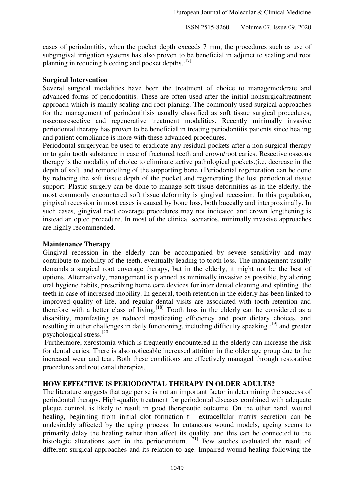cases of periodontitis, when the pocket depth exceeds 7 mm, the procedures such as use of subgingival irrigation systems has also proven to be beneficial in adjunct to scaling and root planning in reducing bleeding and pocket depths.<sup>[17]</sup>

## **Surgical Intervention**

Several surgical modalities have been the treatment of choice to managemoderate and advanced forms of periodontitis. These are often used after the initial nonsurgicaltreatment approach which is mainly scaling and root planing. The commonly used surgical approaches for the management of periodontitisis usually classified as soft tissue surgical procedures, osseousresective and regenerative treatment modalities. Recently minimally invasive periodontal therapy has proven to be beneficial in treating periodontitis patients since healing and patient compliance is more with these advanced procedures.

Periodontal surgerycan be used to eradicate any residual pockets after a non surgical therapy or to gain tooth substance in case of fractured teeth and crown/root caries. Resective osseous therapy is the modality of choice to eliminate active pathological pockets.(i.e. decrease in the depth of soft and remodelling of the supporting bone ).Periodontal regeneration can be done by reducing the soft tissue depth of the pocket and regenerating the lost periodontal tissue support. Plastic surgery can be done to manage soft tissue deformities as in the elderly, the most commonly encountered soft tissue deformity is gingival recession. In this population, gingival recession in most cases is caused by bone loss, both buccally and interproximally. In such cases, gingival root coverage procedures may not indicated and crown lengthening is instead an opted procedure. In most of the clinical scenarios, minimally invasive approaches are highly recommended.

## **Maintenance Therapy**

Gingival recession in the elderly can be accompanied by severe sensitivity and may contribute to mobility of the teeth, eventually leading to tooth loss. The management usually demands a surgical root coverage therapy, but in the elderly, it might not be the best of options. Alternatively, management is planned as minimally invasive as possible, by altering oral hygiene habits, prescribing home care devices for inter dental cleaning and splinting the teeth in case of increased mobility. In general, tooth retention in the elderly has been linked to improved quality of life, and regular dental visits are associated with tooth retention and therefore with a better class of living.<sup>[18]</sup> Tooth loss in the elderly can be considered as a disability, manifesting as reduced masticating efficiency and poor dietary choices, and resulting in other challenges in daily functioning, including difficulty speaking [19] and greater psychological stress.[20]

 Furthermore, xerostomia which is frequently encountered in the elderly can increase the risk for dental caries. There is also noticeable increased attrition in the older age group due to the increased wear and tear. Both these conditions are effectively managed through restorative procedures and root canal therapies.

# **HOW EFFECTIVE IS PERIODONTAL THERAPY IN OLDER ADULTS?**

The literature suggests that age per se is not an important factor in determining the success of periodontal therapy. High-quality treatment for periodontal diseases combined with adequate plaque control, is likely to result in good therapeutic outcome. On the other hand, wound healing, beginning from initial clot formation till extracellular matrix secretion can be undesirably affected by the aging process. In cutaneous wound models, ageing seems to primarily delay the healing rather than affect its quality, and this can be connected to the histologic alterations seen in the periodontium.  $[21]$  Few studies evaluated the result of different surgical approaches and its relation to age. Impaired wound healing following the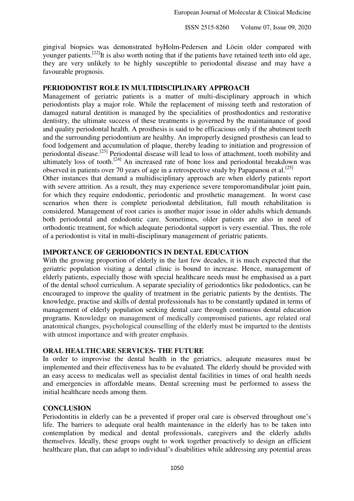ISSN 2515-8260 Volume 07, Issue 09, 2020

gingival biopsies was demonstrated byHolm-Pedersen and Löein older compared with younger patients.<sup>[22]</sup>It is also worth noting that if the patients have retained teeth into old age, they are very unlikely to be highly susceptible to periodontal disease and may have a favourable prognosis.

# **PERIODONTIST ROLE IN MULTIDISCIPLINARY APPROACH**

Management of geriatric patients is a matter of multi-disciplinary approach in which periodontists play a major role. While the replacement of missing teeth and restoration of damaged natural dentition is managed by the specialities of prosthodontics and restorative dentistry, the ultimate success of these treatments is governed by the maintainance of good and quality periodontal health. A prosthesis is said to be efficacious only if the abutment teeth and the surrounding periodontium are healthy. An improperly designed prosthesis can lead to food lodgement and accumulation of plaque, thereby leading to initiation and progression of periodontal disease.[23] Periodontal disease will lead to loss of attachment, tooth mobility and ultimately loss of tooth.<sup>[24]</sup> An increased rate of bone loss and periodontal breakdown was observed in patients over 70 years of age in a retrospective study by Papapanou et al.<sup>[25]</sup>

Other instances that demand a multidisciplinary approach are when elderly patients report with severe attrition. As a result, they may experience severe temporomandibular joint pain, for which they require endodontic, periodontic and prosthetic management. In worst case scenarios when there is complete periodontal debilitation, full mouth rehabilitation is considered. Management of root caries is another major issue in older adults which demands both periodontal and endodontic care. Sometimes, older patients are also in need of orthodontic treatment, for which adequate periodontal support is very essential. Thus, the role of a periodontist is vital in multi-disciplinary management of geriatric patients.

# **IMPORTANCE OF GERIODONTICS IN DENTAL EDUCATION**

With the growing proportion of elderly in the last few decades, it is much expected that the geriatric population visiting a dental clinic is bound to increase. Hence, management of elderly patients, especially those with special healthcare needs must be emphasised as a part of the dental school curriculum. A separate speciality of geriodontics like pedodontics, can be encouraged to improve the quality of treatment in the geriatric patients by the dentists. The knowledge, practise and skills of dental professionals has to be constantly updated in terms of management of elderly population seeking dental care through continuous dental education programs. Knowledge on management of medically compromised patients, age related oral anatomical changes, psychological counselling of the elderly must be imparted to the dentists with utmost importance and with greater emphasis.

## **ORAL HEALTHCARE SERVICES- THE FUTURE**

In order to improvise the dental health in the geriatrics, adequate measures must be implemented and their effectiveness has to be evaluated. The elderly should be provided with an easy access to medicalas well as specialist dental facilities in times of oral health needs and emergencies in affordable means. Dental screening must be performed to assess the initial healthcare needs among them.

## **CONCLUSION**

Periodontitis in elderly can be a prevented if proper oral care is observed throughout one's life. The barriers to adequate oral health maintenance in the elderly has to be taken into contemplation by medical and dental professionals, caregivers and the elderly adults themselves. Ideally, these groups ought to work together proactively to design an efficient healthcare plan, that can adapt to individual's disabilities while addressing any potential areas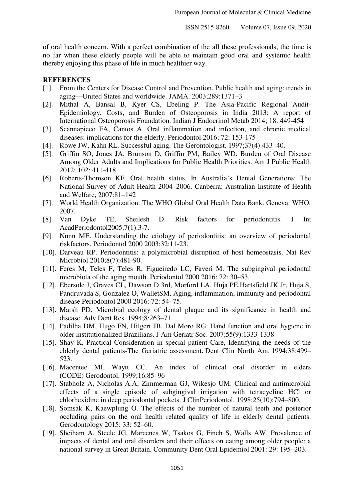of oral health concern. With a perfect combination of the all these professionals, the time is no far when these elderly people will be able to maintain good oral and systemic health thereby enjoying this phase of life in much healthier way.

# **REFERENCES**

- [1]. From the Centers for Disease Control and Prevention. Public health and aging: trends in aging—United States and worldwide. JAMA. 2003;289:1371–3
- [2]. Mithal A, Bansal B, Kyer CS, Ebeling P. The Asia-Pacific Regional Audit-Epidemiology, Costs, and Burden of Osteoporosis in India 2013: A report of International Osteoporosis Foundation. Indian J Endocrinol Metab 2014; 18: 449-454
- [3]. Scannapieco FA, Cantos A. Oral inflammation and infection, and chronic medical diseases: implications for the elderly. Periodontol 2016; 72: 153-175
- [4]. Rowe JW, Kahn RL. Successful aging. The Gerontologist. 1997;37(4):433–40.
- [5]. Griffin SO, Jones JA, Brunson D, Griffin PM, Bailey WD. Burden of Oral Disease Among Older Adults and Implications for Public Health Priorities. Am J Public Health 2012; 102: 411-418.
- [6]. Roberts-Thomson KF. Oral health status. In Australia's Dental Generations: The National Survey of Adult Health 2004–2006. Canberra: Australian Institute of Health and Welfare, 2007:81–142
- [7]. World Health Organization. The WHO Global Oral Health Data Bank. Geneva: WHO, 2007.
- [8]. Van Dyke TE, Sheilesh D. Risk factors for periodontitis. J Int AcadPeriodontol2005;7(1):3-7.
- [9]. Nunn ME. Understanding the etiology of periodontitis: an overview of periodontal riskfactors. Periodontol 2000 2003;32:11-23.
- [10]. Darveau RP. Periodontitis: a polymicrobial disruption of host homeostasis. Nat Rev Microbiol 2010;8(7):481-90.
- [11]. Feres M, Teles F, Teles R, Figueiredo LC, Faveri M. The subgingival periodontal microbiota of the aging mouth. Periodontol 2000 2016: 72: 30–53.
- [12]. Ebersole J, Graves CL, Dawson D 3rd, Morford LA, Huja PE,Hartsfield JK Jr, Huja S, Pandruvada S, Gonzalez O, WalletSM. Aging, inflammation, immunity and periodontal disease.Periodontol 2000 2016: 72: 54–75.
- [13]. Marsh PD. Microbial ecology of dental plaque and its significance in health and disease. Adv Dent Res. 1994;8:263–71
- [14]. Padilha DM, Hugo FN, Hilgert JB, Dal Moro RG. Hand function and oral hygiene in older institutionalized Brazilians. J Am Geriatr Soc. 2007;55(9):1333-1338
- [15]. Shay K. Practical Consideration in special patient Care, Identifying the needs of the elderly dental patients-The Geriatric assessment. Dent Clin North Am. 1994;38:499– 523.
- [16]. Macentee MI, Waytt CC. An index of clinical oral disorder in elders (CODE) Gerodontol. 1999;16:85–96
- [17]. Stabholz A, Nicholas A.A, Zimmerman GJ, Wikesjo UM. Clinical and antimicrobial effects of a single episode of subgingival irrigation with tetracycline HCl or chlorhexidine in deep periodontal pockets. J ClinPeriodontol. 1998;25(10):794–800.
- [18]. Somsak K, Kaewplung O. The effects of the number of natural teeth and posterior occluding pairs on the oral health related quality of life in elderly dental patients. Gerodontology 2015: 33: 52–60.
- [19]. Sheiham A, Steele JG, Marcenes W, Tsakos G, Finch S, Walls AW. Prevalence of impacts of dental and oral disorders and their effects on eating among older people: a national survey in Great Britain. Community Dent Oral Epidemiol 2001: 29: 195–203.